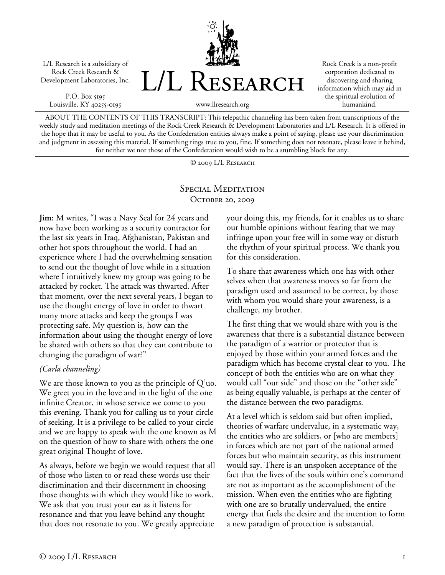

P.O. Box 5195 Louisville, KY 40255-0195



Rock Creek is a non-profit corporation dedicated to discovering and sharing information which may aid in the spiritual evolution of humankind.

ABOUT THE CONTENTS OF THIS TRANSCRIPT: This telepathic channeling has been taken from transcriptions of the weekly study and meditation meetings of the Rock Creek Research & Development Laboratories and L/L Research. It is offered in the hope that it may be useful to you. As the Confederation entities always make a point of saying, please use your discrimination and judgment in assessing this material. If something rings true to you, fine. If something does not resonate, please leave it behind, for neither we nor those of the Confederation would wish to be a stumbling block for any.

© 2009 L/L Research

## SPECIAL MEDITATION OCTOBER 20, 2009

**Jim:** M writes, "I was a Navy Seal for 24 years and now have been working as a security contractor for the last six years in Iraq, Afghanistan, Pakistan and other hot spots throughout the world. I had an experience where I had the overwhelming sensation to send out the thought of love while in a situation where I intuitively knew my group was going to be attacked by rocket. The attack was thwarted. After that moment, over the next several years, I began to use the thought energy of love in order to thwart many more attacks and keep the groups I was protecting safe. My question is, how can the information about using the thought energy of love be shared with others so that they can contribute to changing the paradigm of war?"

## *(Carla channeling)*

We are those known to you as the principle of Q'uo. We greet you in the love and in the light of the one infinite Creator, in whose service we come to you this evening. Thank you for calling us to your circle of seeking. It is a privilege to be called to your circle and we are happy to speak with the one known as M on the question of how to share with others the one great original Thought of love.

As always, before we begin we would request that all of those who listen to or read these words use their discrimination and their discernment in choosing those thoughts with which they would like to work. We ask that you trust your ear as it listens for resonance and that you leave behind any thought that does not resonate to you. We greatly appreciate

your doing this, my friends, for it enables us to share our humble opinions without fearing that we may infringe upon your free will in some way or disturb the rhythm of your spiritual process. We thank you for this consideration.

To share that awareness which one has with other selves when that awareness moves so far from the paradigm used and assumed to be correct, by those with whom you would share your awareness, is a challenge, my brother.

The first thing that we would share with you is the awareness that there is a substantial distance between the paradigm of a warrior or protector that is enjoyed by those within your armed forces and the paradigm which has become crystal clear to you. The concept of both the entities who are on what they would call "our side" and those on the "other side" as being equally valuable, is perhaps at the center of the distance between the two paradigms.

At a level which is seldom said but often implied, theories of warfare undervalue, in a systematic way, the entities who are soldiers, or [who are members] in forces which are not part of the national armed forces but who maintain security, as this instrument would say. There is an unspoken acceptance of the fact that the lives of the souls within one's command are not as important as the accomplishment of the mission. When even the entities who are fighting with one are so brutally undervalued, the entire energy that fuels the desire and the intention to form a new paradigm of protection is substantial.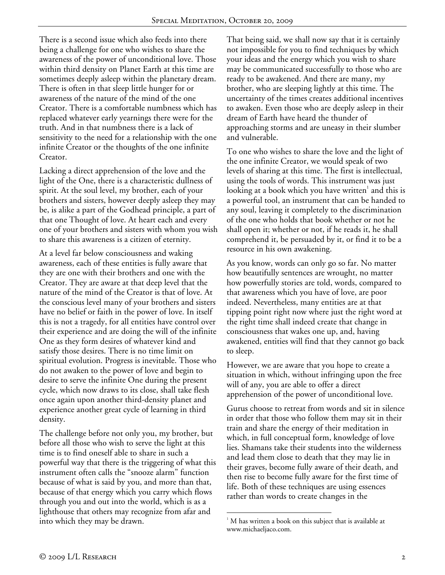There is a second issue which also feeds into there being a challenge for one who wishes to share the awareness of the power of unconditional love. Those within third density on Planet Earth at this time are sometimes deeply asleep within the planetary dream. There is often in that sleep little hunger for or awareness of the nature of the mind of the one Creator. There is a comfortable numbness which has replaced whatever early yearnings there were for the truth. And in that numbness there is a lack of sensitivity to the need for a relationship with the one infinite Creator or the thoughts of the one infinite Creator.

Lacking a direct apprehension of the love and the light of the One, there is a characteristic dullness of spirit. At the soul level, my brother, each of your brothers and sisters, however deeply asleep they may be, is alike a part of the Godhead principle, a part of that one Thought of love. At heart each and every one of your brothers and sisters with whom you wish to share this awareness is a citizen of eternity.

At a level far below consciousness and waking awareness, each of these entities is fully aware that they are one with their brothers and one with the Creator. They are aware at that deep level that the nature of the mind of the Creator is that of love. At the conscious level many of your brothers and sisters have no belief or faith in the power of love. In itself this is not a tragedy, for all entities have control over their experience and are doing the will of the infinite One as they form desires of whatever kind and satisfy those desires. There is no time limit on spiritual evolution. Progress is inevitable. Those who do not awaken to the power of love and begin to desire to serve the infinite One during the present cycle, which now draws to its close, shall take flesh once again upon another third-density planet and experience another great cycle of learning in third density.

The challenge before not only you, my brother, but before all those who wish to serve the light at this time is to find oneself able to share in such a powerful way that there is the triggering of what this instrument often calls the "snooze alarm" function because of what is said by you, and more than that, because of that energy which you carry which flows through you and out into the world, which is as a lighthouse that others may recognize from afar and into which they may be drawn.

That being said, we shall now say that it is certainly not impossible for you to find techniques by which your ideas and the energy which you wish to share may be communicated successfully to those who are ready to be awakened. And there are many, my brother, who are sleeping lightly at this time. The uncertainty of the times creates additional incentives to awaken. Even those who are deeply asleep in their dream of Earth have heard the thunder of approaching storms and are uneasy in their slumber and vulnerable.

To one who wishes to share the love and the light of the one infinite Creator, we would speak of two levels of sharing at this time. The first is intellectual, using the tools of words. This instrument was just looking at a book which you have written $^{\rm 1}$  and this is a powerful tool, an instrument that can be handed to any soul, leaving it completely to the discrimination of the one who holds that book whether or not he shall open it; whether or not, if he reads it, he shall comprehend it, be persuaded by it, or find it to be a resource in his own awakening.

As you know, words can only go so far. No matter how beautifully sentences are wrought, no matter how powerfully stories are told, words, compared to that awareness which you have of love, are poor indeed. Nevertheless, many entities are at that tipping point right now where just the right word at the right time shall indeed create that change in consciousness that wakes one up, and, having awakened, entities will find that they cannot go back to sleep.

However, we are aware that you hope to create a situation in which, without infringing upon the free will of any, you are able to offer a direct apprehension of the power of unconditional love.

Gurus choose to retreat from words and sit in silence in order that those who follow them may sit in their train and share the energy of their meditation in which, in full conceptual form, knowledge of love lies. Shamans take their students into the wilderness and lead them close to death that they may lie in their graves, become fully aware of their death, and then rise to become fully aware for the first time of life. Both of these techniques are using essences rather than words to create changes in the

 $\overline{a}$ 

<sup>1</sup> M has written a book on this subject that is available at www.michaeljaco.com.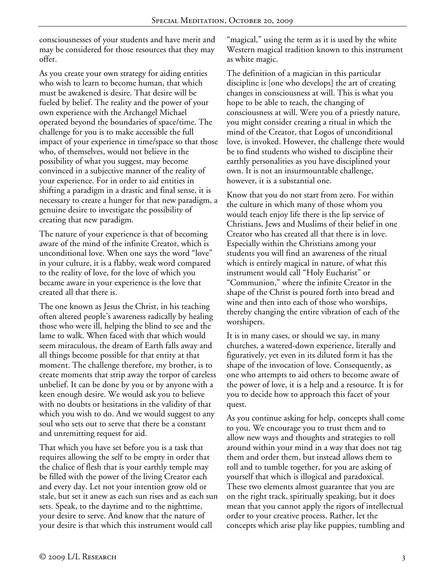consciousnesses of your students and have merit and may be considered for those resources that they may offer.

As you create your own strategy for aiding entities who wish to learn to become human, that which must be awakened is desire. That desire will be fueled by belief. The reality and the power of your own experience with the Archangel Michael operated beyond the boundaries of space/time. The challenge for you is to make accessible the full impact of your experience in time/space so that those who, of themselves, would not believe in the possibility of what you suggest, may become convinced in a subjective manner of the reality of your experience. For in order to aid entities in shifting a paradigm in a drastic and final sense, it is necessary to create a hunger for that new paradigm, a genuine desire to investigate the possibility of creating that new paradigm.

The nature of your experience is that of becoming aware of the mind of the infinite Creator, which is unconditional love. When one says the word "love" in your culture, it is a flabby, weak word compared to the reality of love, for the love of which you became aware in your experience is the love that created all that there is.

The one known as Jesus the Christ, in his teaching often altered people's awareness radically by healing those who were ill, helping the blind to see and the lame to walk. When faced with that which would seem miraculous, the dream of Earth falls away and all things become possible for that entity at that moment. The challenge therefore, my brother, is to create moments that strip away the torpor of careless unbelief. It can be done by you or by anyone with a keen enough desire. We would ask you to believe with no doubts or hesitations in the validity of that which you wish to do. And we would suggest to any soul who sets out to serve that there be a constant and unremitting request for aid.

That which you have set before you is a task that requires allowing the self to be empty in order that the chalice of flesh that is your earthly temple may be filled with the power of the living Creator each and every day. Let not your intention grow old or stale, but set it anew as each sun rises and as each sun sets. Speak, to the daytime and to the nighttime, your desire to serve. And know that the nature of your desire is that which this instrument would call

"magical," using the term as it is used by the white Western magical tradition known to this instrument as white magic.

The definition of a magician in this particular discipline is [one who develops] the art of creating changes in consciousness at will. This is what you hope to be able to teach, the changing of consciousness at will. Were you of a priestly nature, you might consider creating a ritual in which the mind of the Creator, that Logos of unconditional love, is invoked. However, the challenge there would be to find students who wished to discipline their earthly personalities as you have disciplined your own. It is not an insurmountable challenge, however, it is a substantial one.

Know that you do not start from zero. For within the culture in which many of those whom you would teach enjoy life there is the lip service of Christians, Jews and Muslims of their belief in one Creator who has created all that there is in love. Especially within the Christians among your students you will find an awareness of the ritual which is entirely magical in nature, of what this instrument would call "Holy Eucharist" or "Communion," where the infinite Creator in the shape of the Christ is poured forth into bread and wine and then into each of those who worships, thereby changing the entire vibration of each of the worshipers.

It is in many cases, or should we say, in many churches, a watered-down experience, literally and figuratively, yet even in its diluted form it has the shape of the invocation of love. Consequently, as one who attempts to aid others to become aware of the power of love, it is a help and a resource. It is for you to decide how to approach this facet of your quest.

As you continue asking for help, concepts shall come to you. We encourage you to trust them and to allow new ways and thoughts and strategies to roll around within your mind in a way that does not tag them and order them, but instead allows them to roll and to tumble together, for you are asking of yourself that which is illogical and paradoxical. These two elements almost guarantee that you are on the right track, spiritually speaking, but it does mean that you cannot apply the rigors of intellectual order to your creative process. Rather, let the concepts which arise play like puppies, tumbling and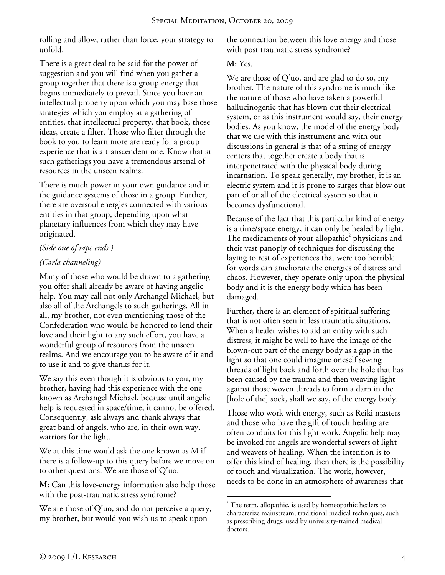rolling and allow, rather than force, your strategy to unfold.

There is a great deal to be said for the power of suggestion and you will find when you gather a group together that there is a group energy that begins immediately to prevail. Since you have an intellectual property upon which you may base those strategies which you employ at a gathering of entities, that intellectual property, that book, those ideas, create a filter. Those who filter through the book to you to learn more are ready for a group experience that is a transcendent one. Know that at such gatherings you have a tremendous arsenal of resources in the unseen realms.

There is much power in your own guidance and in the guidance systems of those in a group. Further, there are oversoul energies connected with various entities in that group, depending upon what planetary influences from which they may have originated.

## *(Side one of tape ends.)*

# *(Carla channeling)*

Many of those who would be drawn to a gathering you offer shall already be aware of having angelic help. You may call not only Archangel Michael, but also all of the Archangels to such gatherings. All in all, my brother, not even mentioning those of the Confederation who would be honored to lend their love and their light to any such effort, you have a wonderful group of resources from the unseen realms. And we encourage you to be aware of it and to use it and to give thanks for it.

We say this even though it is obvious to you, my brother, having had this experience with the one known as Archangel Michael, because until angelic help is requested in space/time, it cannot be offered. Consequently, ask always and thank always that great band of angels, who are, in their own way, warriors for the light.

We at this time would ask the one known as M if there is a follow-up to this query before we move on to other questions. We are those of Q'uo.

**M:** Can this love-energy information also help those with the post-traumatic stress syndrome?

We are those of Q'uo, and do not perceive a query, my brother, but would you wish us to speak upon

the connection between this love energy and those with post traumatic stress syndrome?

### **M:** Yes.

We are those of Q'uo, and are glad to do so, my brother. The nature of this syndrome is much like the nature of those who have taken a powerful hallucinogenic that has blown out their electrical system, or as this instrument would say, their energy bodies. As you know, the model of the energy body that we use with this instrument and with our discussions in general is that of a string of energy centers that together create a body that is interpenetrated with the physical body during incarnation. To speak generally, my brother, it is an electric system and it is prone to surges that blow out part of or all of the electrical system so that it becomes dysfunctional.

Because of the fact that this particular kind of energy is a time/space energy, it can only be healed by light. The medicaments of your allopathic $^2$  physicians and their vast panoply of techniques for discussing the laying to rest of experiences that were too horrible for words can ameliorate the energies of distress and chaos. However, they operate only upon the physical body and it is the energy body which has been damaged.

Further, there is an element of spiritual suffering that is not often seen in less traumatic situations. When a healer wishes to aid an entity with such distress, it might be well to have the image of the blown-out part of the energy body as a gap in the light so that one could imagine oneself sewing threads of light back and forth over the hole that has been caused by the trauma and then weaving light against those woven threads to form a darn in the [hole of the] sock, shall we say, of the energy body.

Those who work with energy, such as Reiki masters and those who have the gift of touch healing are often conduits for this light work. Angelic help may be invoked for angels are wonderful sewers of light and weavers of healing. When the intention is to offer this kind of healing, then there is the possibility of touch and visualization. The work, however, needs to be done in an atmosphere of awareness that

 $\overline{a}$  $2^2$  The term, allopathic, is used by homeopathic healers to characterize mainstream, traditional medical techniques, such as prescribing drugs, used by university-trained medical doctors.